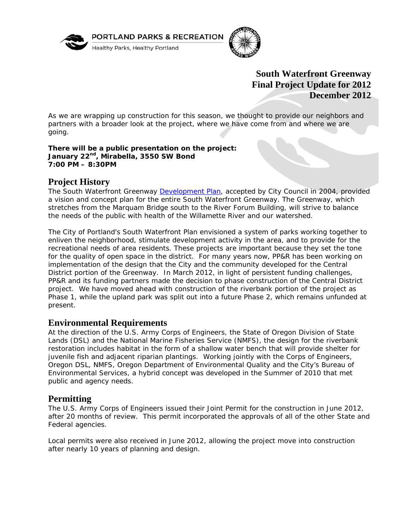

PORTLAND PARKS & RECREATION

Healthy Parks, Healthy Portland



# **South Waterfront Greenway Final Project Update for 2012 December 2012**

As we are wrapping up construction for this season, we thought to provide our neighbors and partners with a broader look at the project, where we have come from and where we are going.

**There will be a public presentation on the project: January 22nd, Mirabella, 3550 SW Bond 7:00 PM – 8:30PM** 

### **Project History**

The South Waterfront Greenway Development Plan, accepted by City Council in 2004, provided a vision and concept plan for the entire South Waterfront Greenway. The Greenway, which stretches from the Marquam Bridge south to the River Forum Building, will strive to balance the needs of the public with health of the Willamette River and our watershed.

The City of Portland's South Waterfront Plan envisioned a system of parks working together to enliven the neighborhood, stimulate development activity in the area, and to provide for the recreational needs of area residents. These projects are important because they set the tone for the quality of open space in the district. For many years now, PP&R has been working on implementation of the design that the City and the community developed for the Central District portion of the Greenway. In March 2012, in light of persistent funding challenges, PP&R and its funding partners made the decision to phase construction of the Central District project. We have moved ahead with construction of the riverbank portion of the project as Phase 1, while the upland park was split out into a future Phase 2, which remains unfunded at present.

#### **Environmental Requirements**

At the direction of the U.S. Army Corps of Engineers, the State of Oregon Division of State Lands (DSL) and the National Marine Fisheries Service (NMFS), the design for the riverbank restoration includes habitat in the form of a shallow water bench that will provide shelter for juvenile fish and adjacent riparian plantings. Working jointly with the Corps of Engineers, Oregon DSL, NMFS, Oregon Department of Environmental Quality and the City's Bureau of Environmental Services, a hybrid concept was developed in the Summer of 2010 that met public and agency needs.

#### **Permitting**

The U.S. Army Corps of Engineers issued their Joint Permit for the construction in June 2012, after 20 months of review. This permit incorporated the approvals of all of the other State and Federal agencies.

Local permits were also received in June 2012, allowing the project move into construction after nearly 10 years of planning and design.